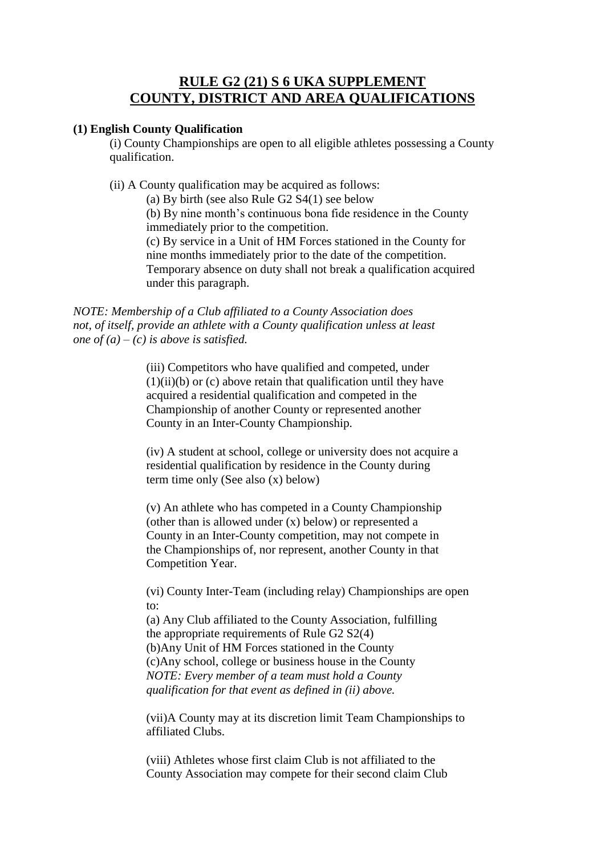## **RULE G2 (21) S 6 UKA SUPPLEMENT COUNTY, DISTRICT AND AREA QUALIFICATIONS**

## **(1) English County Qualification**

(i) County Championships are open to all eligible athletes possessing a County qualification.

(ii) A County qualification may be acquired as follows:

(a) By birth (see also Rule G2 S4(1) see below (b) By nine month's continuous bona fide residence in the County immediately prior to the competition. (c) By service in a Unit of HM Forces stationed in the County for

nine months immediately prior to the date of the competition. Temporary absence on duty shall not break a qualification acquired under this paragraph.

*NOTE: Membership of a Club affiliated to a County Association does not, of itself, provide an athlete with a County qualification unless at least one of (a) – (c) is above is satisfied.*

> (iii) Competitors who have qualified and competed, under  $(1)(ii)(b)$  or  $(c)$  above retain that qualification until they have acquired a residential qualification and competed in the Championship of another County or represented another County in an Inter-County Championship.

(iv) A student at school, college or university does not acquire a residential qualification by residence in the County during term time only (See also (x) below)

(v) An athlete who has competed in a County Championship (other than is allowed under (x) below) or represented a County in an Inter-County competition, may not compete in the Championships of, nor represent, another County in that Competition Year.

(vi) County Inter-Team (including relay) Championships are open to:

(a) Any Club affiliated to the County Association, fulfilling the appropriate requirements of Rule G2 S2(4) (b)Any Unit of HM Forces stationed in the County (c)Any school, college or business house in the County *NOTE: Every member of a team must hold a County qualification for that event as defined in (ii) above.*

(vii)A County may at its discretion limit Team Championships to affiliated Clubs.

(viii) Athletes whose first claim Club is not affiliated to the County Association may compete for their second claim Club